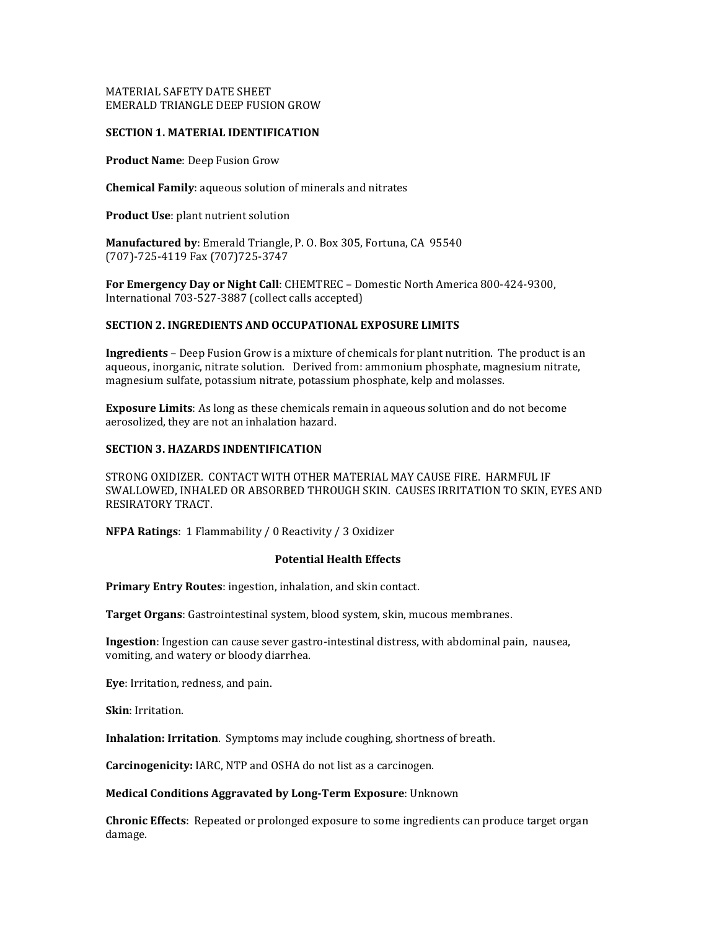# MATERIAL SAFETY DATE SHEET EMERALD TRIANGLE DEEP FUSION GROW

### **SECTION 1. MATERIAL IDENTIFICATION**

**Product Name**: Deep Fusion Grow

**Chemical Family**: aqueous solution of minerals and nitrates

**Product Use**: plant nutrient solution

**Manufactured by**: Emerald Triangle, P. O. Box 305, Fortuna, CA 95540 (707)-725-4119 Fax (707)725-3747

**For Emergency Day or Night Call**: CHEMTREC – Domestic North America 800-424-9300, International 703-527-3887 (collect calls accepted)

# **SECTION 2. INGREDIENTS AND OCCUPATIONAL EXPOSURE LIMITS**

**Ingredients** – Deep Fusion Grow is a mixture of chemicals for plant nutrition. The product is an aqueous, inorganic, nitrate solution. Derived from: ammonium phosphate, magnesium nitrate, magnesium sulfate, potassium nitrate, potassium phosphate, kelp and molasses.

**Exposure Limits**: As long as these chemicals remain in aqueous solution and do not become aerosolized, they are not an inhalation hazard.

# **SECTION 3. HAZARDS INDENTIFICATION**

STRONG OXIDIZER. CONTACT WITH OTHER MATERIAL MAY CAUSE FIRE. HARMFUL IF SWALLOWED, INHALED OR ABSORBED THROUGH SKIN. CAUSES IRRITATION TO SKIN, EYES AND RESIRATORY TRACT.

**NFPA Ratings**: 1 Flammability / 0 Reactivity / 3 Oxidizer

### **Potential Health Effects**

**Primary Entry Routes**: ingestion, inhalation, and skin contact.

**Target Organs**: Gastrointestinal system, blood system, skin, mucous membranes.

**Ingestion**: Ingestion can cause sever gastro-intestinal distress, with abdominal pain, nausea, vomiting, and watery or bloody diarrhea.

**Eye**: Irritation, redness, and pain.

**Skin**: Irritation.

**Inhalation: Irritation**. Symptoms may include coughing, shortness of breath.

**Carcinogenicity:** IARC, NTP and OSHA do not list as a carcinogen.

**Medical Conditions Aggravated by Long-Term Exposure**: Unknown

**Chronic Effects**: Repeated or prolonged exposure to some ingredients can produce target organ damage.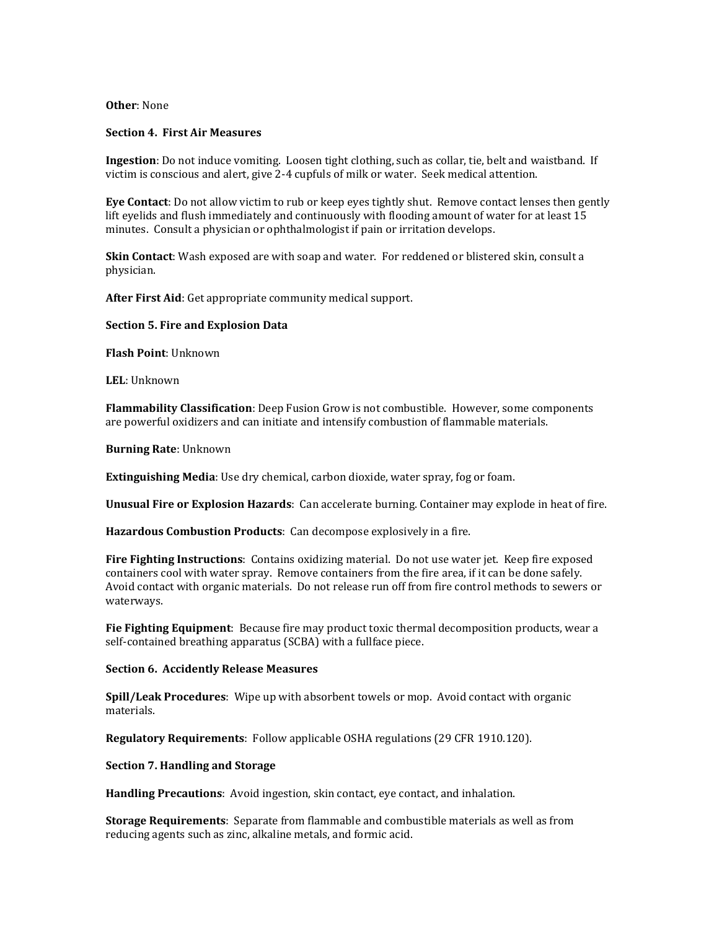### **Other**: None

#### **Section 4. First Air Measures**

**Ingestion**: Do not induce vomiting. Loosen tight clothing, such as collar, tie, belt and waistband. If victim is conscious and alert, give 2-4 cupfuls of milk or water. Seek medical attention.

**Eye Contact**: Do not allow victim to rub or keep eyes tightly shut. Remove contact lenses then gently lift eyelids and flush immediately and continuously with flooding amount of water for at least 15 minutes. Consult a physician or ophthalmologist if pain or irritation develops.

**Skin Contact**: Wash exposed are with soap and water. For reddened or blistered skin, consult a physician.

**After First Aid**: Get appropriate community medical support.

#### **Section 5. Fire and Explosion Data**

**Flash Point**: Unknown

**LEL**: Unknown

**Flammability Classification**: Deep Fusion Grow is not combustible. However, some components are powerful oxidizers and can initiate and intensify combustion of flammable materials.

**Burning Rate**: Unknown

**Extinguishing Media**: Use dry chemical, carbon dioxide, water spray, fog or foam.

**Unusual Fire or Explosion Hazards**: Can accelerate burning. Container may explode in heat of fire.

**Hazardous Combustion Products**: Can decompose explosively in a fire.

**Fire Fighting Instructions**: Contains oxidizing material. Do not use water jet. Keep fire exposed containers cool with water spray. Remove containers from the fire area, if it can be done safely. Avoid contact with organic materials. Do not release run off from fire control methods to sewers or waterways.

**Fie Fighting Equipment**: Because fire may product toxic thermal decomposition products, wear a self-contained breathing apparatus (SCBA) with a fullface piece.

#### **Section 6. Accidently Release Measures**

**Spill/Leak Procedures**: Wipe up with absorbent towels or mop. Avoid contact with organic materials.

**Regulatory Requirements**: Follow applicable OSHA regulations (29 CFR 1910.120).

**Section 7. Handling and Storage**

**Handling Precautions**: Avoid ingestion, skin contact, eye contact, and inhalation.

**Storage Requirements**: Separate from flammable and combustible materials as well as from reducing agents such as zinc, alkaline metals, and formic acid.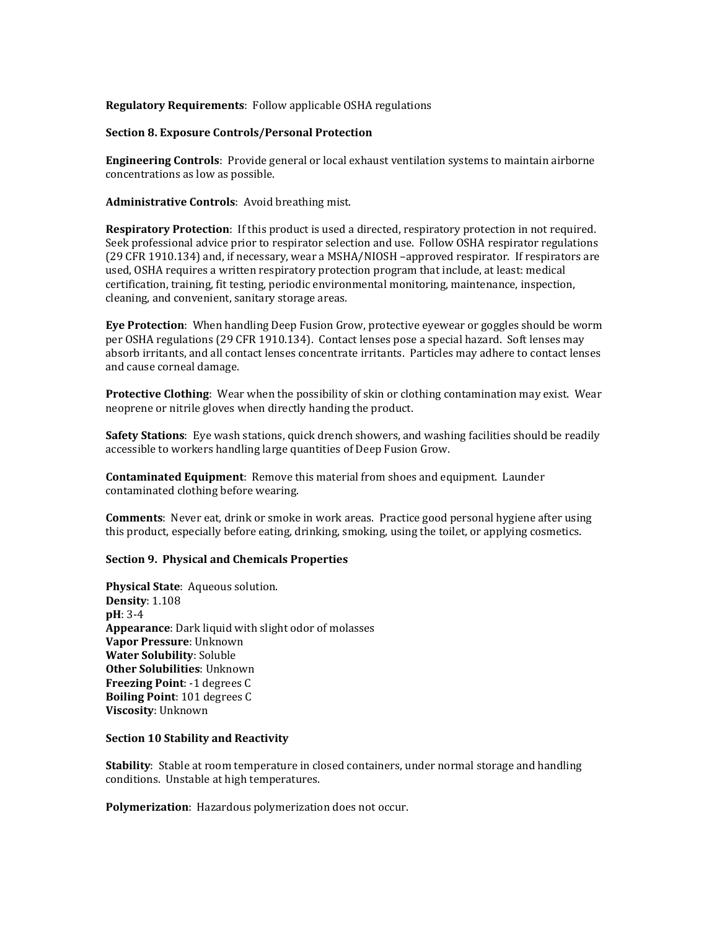# **Regulatory Requirements**: Follow applicable OSHA regulations

### **Section 8. Exposure Controls/Personal Protection**

**Engineering Controls**: Provide general or local exhaust ventilation systems to maintain airborne concentrations as low as possible.

**Administrative Controls**: Avoid breathing mist.

**Respiratory Protection**: If this product is used a directed, respiratory protection in not required. Seek professional advice prior to respirator selection and use. Follow OSHA respirator regulations (29 CFR 1910.134) and, if necessary, wear a MSHA/NIOSH –approved respirator. If respirators are used, OSHA requires a written respiratory protection program that include, at least: medical certification, training, fit testing, periodic environmental monitoring, maintenance, inspection, cleaning, and convenient, sanitary storage areas.

**Eye Protection**: When handling Deep Fusion Grow, protective eyewear or goggles should be worm per OSHA regulations (29 CFR 1910.134). Contact lenses pose a special hazard. Soft lenses may absorb irritants, and all contact lenses concentrate irritants. Particles may adhere to contact lenses and cause corneal damage.

**Protective Clothing**: Wear when the possibility of skin or clothing contamination may exist. Wear neoprene or nitrile gloves when directly handing the product.

**Safety Stations**: Eye wash stations, quick drench showers, and washing facilities should be readily accessible to workers handling large quantities of Deep Fusion Grow.

**Contaminated Equipment**: Remove this material from shoes and equipment. Launder contaminated clothing before wearing.

**Comments**: Never eat, drink or smoke in work areas. Practice good personal hygiene after using this product, especially before eating, drinking, smoking, using the toilet, or applying cosmetics.

### **Section 9. Physical and Chemicals Properties**

**Physical State**: Aqueous solution. **Density**: 1.108 **pH**: 3-4 **Appearance**: Dark liquid with slight odor of molasses **Vapor Pressure**: Unknown **Water Solubility**: Soluble **Other Solubilities**: Unknown **Freezing Point**: -1 degrees C **Boiling Point**: 101 degrees C **Viscosity**: Unknown

# **Section 10 Stability and Reactivity**

**Stability**: Stable at room temperature in closed containers, under normal storage and handling conditions. Unstable at high temperatures.

**Polymerization**: Hazardous polymerization does not occur.